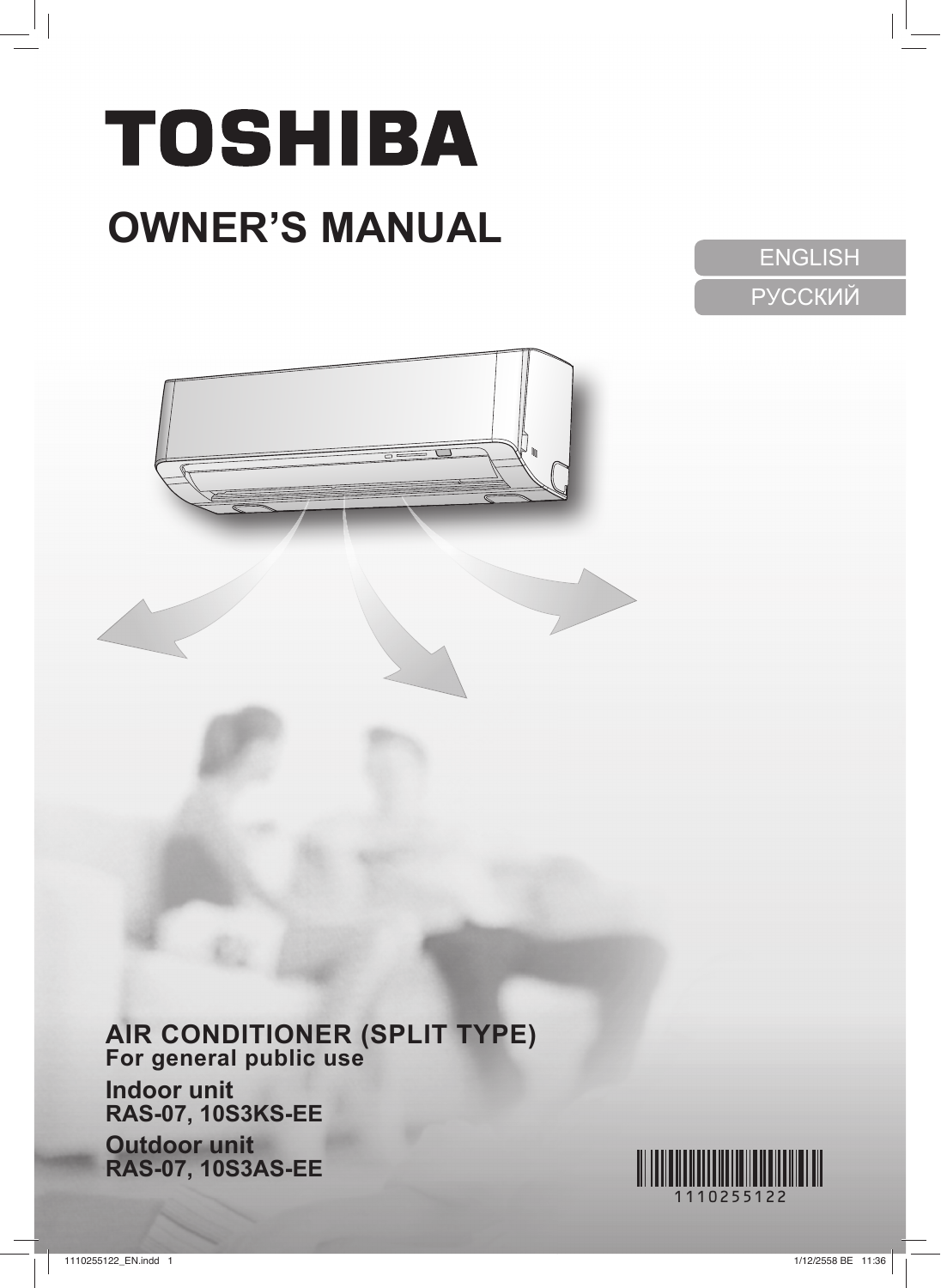# **TOSHIBA OWNER'S MANUAL**

ENGLISH PУCСКИЙ



# **AIR CONDITIONER (SPLIT TYPE)**

**For general public use Indoor unit RAS-07, 10S3KS-EE**

**Outdoor unit RAS-07, 10S3AS-EE**

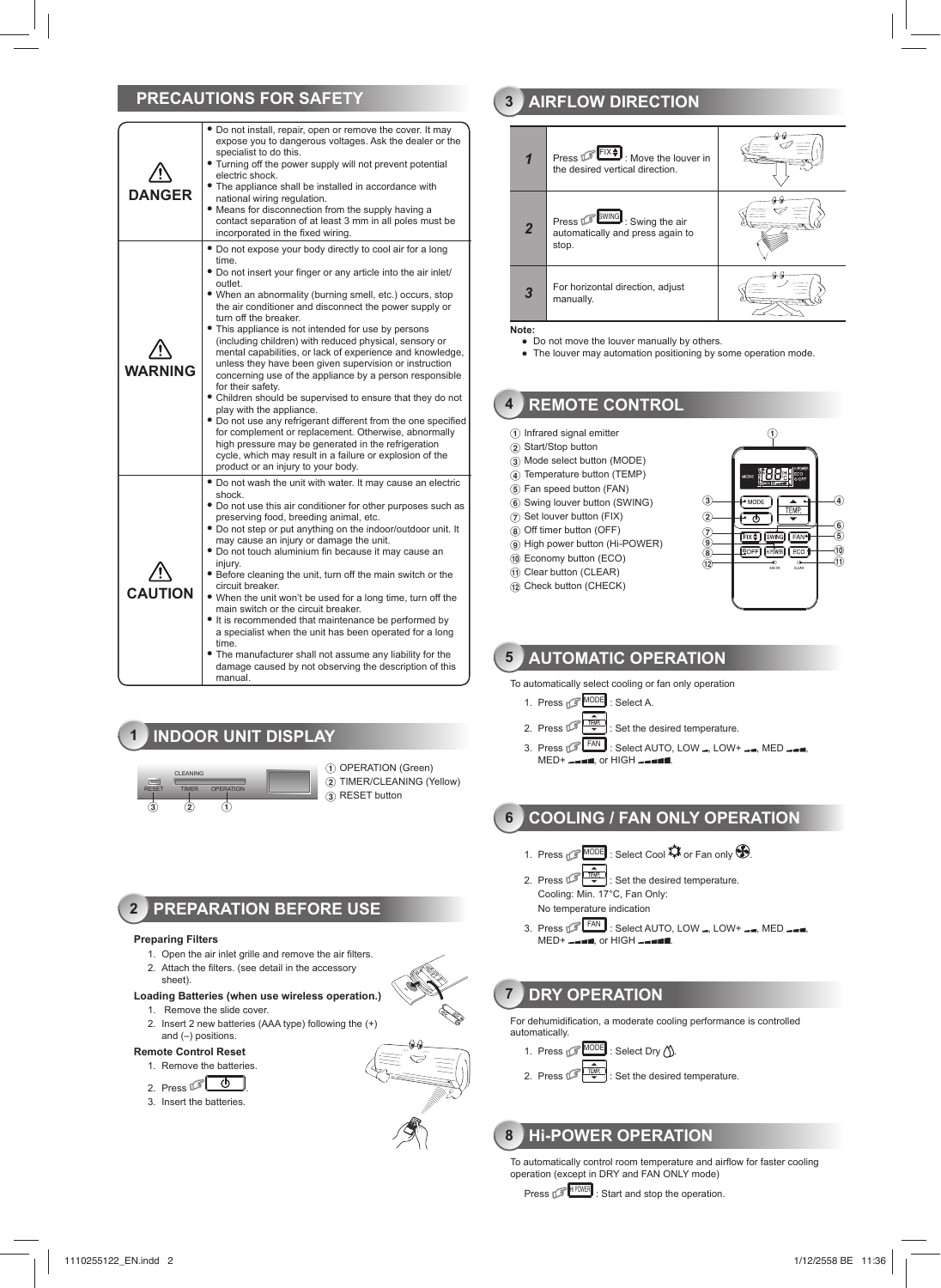## **PRECAUTIONS FOR SAFETY**

| <b>DANGER</b>  | . Do not install, repair, open or remove the cover. It may<br>expose you to dangerous voltages. Ask the dealer or the<br>specialist to do this.<br>. Turning off the power supply will not prevent potential<br>electric shock.<br>• The appliance shall be installed in accordance with<br>national wiring regulation.<br>. Means for disconnection from the supply having a<br>contact separation of at least 3 mm in all poles must be<br>incorporated in the fixed wiring.                                                                                                                                                                                                                                                                                                                                                                                                                                                                                                                     |
|----------------|----------------------------------------------------------------------------------------------------------------------------------------------------------------------------------------------------------------------------------------------------------------------------------------------------------------------------------------------------------------------------------------------------------------------------------------------------------------------------------------------------------------------------------------------------------------------------------------------------------------------------------------------------------------------------------------------------------------------------------------------------------------------------------------------------------------------------------------------------------------------------------------------------------------------------------------------------------------------------------------------------|
| <b>WARNING</b> | . Do not expose your body directly to cool air for a long<br>time.<br>• Do not insert your finger or any article into the air inlet/<br>outlet.<br>. When an abnormality (burning smell, etc.) occurs, stop<br>the air conditioner and disconnect the power supply or<br>turn off the breaker.<br>• This appliance is not intended for use by persons<br>(including children) with reduced physical, sensory or<br>mental capabilities, or lack of experience and knowledge,<br>unless they have been given supervision or instruction<br>concerning use of the appliance by a person responsible<br>for their safety.<br>• Children should be supervised to ensure that they do not<br>play with the appliance.<br>. Do not use any refrigerant different from the one specified<br>for complement or replacement. Otherwise, abnormally<br>high pressure may be generated in the refrigeration<br>cycle, which may result in a failure or explosion of the<br>product or an injury to your body. |
| <b>CAUTION</b> | • Do not wash the unit with water. It may cause an electric<br>shock.<br>• Do not use this air conditioner for other purposes such as<br>preserving food, breeding animal, etc.<br>. Do not step or put anything on the indoor/outdoor unit. It<br>may cause an injury or damage the unit.<br>. Do not touch aluminium fin because it may cause an<br>iniurv.<br>• Before cleaning the unit, turn off the main switch or the<br>circuit breaker.<br>. When the unit won't be used for a long time, turn off the<br>main switch or the circuit breaker.<br>• It is recommended that maintenance be performed by<br>a specialist when the unit has been operated for a long<br>time.<br>• The manufacturer shall not assume any liability for the<br>damage caused by not observing the description of this<br>manual.                                                                                                                                                                               |

# **1 INDOOR UNIT DISPLAY**



(1) OPERATION (Green) 2 TIMER/CLEANING (Yellow)  $\widetilde{3}$  RESET button

## **2 PREPARATION BEFORE USE**

#### **Preparing Filters**

- 1. Open the air inlet grille and remove the air filters.
- 2. Attach the filters. (see detail in the accessory
- sheet).

#### **Loading Batteries (when use wireless operation.)** 1. Remove the slide cover.

- 2. Insert 2 new batteries (AAA type) following the (+) and (–) positions.
- **Remote Control Reset**

## 1. Remove the batteries.

- 2. Press  $\circ$  0
- 3. Insert the batteries.



## **3 AIRFLOW DIRECTION**



- Do not move the louver manually by others.<br>● The louver may automation positioning by some operation mode.
- 

## **4 REMOTE CONTROL**

- (1) Infrared signal emitter
- 2 Start/Stop button
- 3 Mode select button (MODE)
- $\overline{4}$ ) Temperature button (TEMP)
- 5 Fan speed button (FAN)
- 6 Swing louver button (SWING)
- $(7)$  Set louver button (FIX)
- 8 Off timer button (OFF)
- 9 High power button (Hi-POWER)
- $(10)$  Economy button (ECO)
- $<sup>(1)</sup>$  Clear button (CLEAR)</sup>
- $\overline{12}$  Check button (CHECK)



## **5 AUTOMATIC OPERATION**

To automatically select cooling or fan only operation

- 1. Press **MODE** : Select A.
- 2. Press  $\sqrt{\frac{120R}{v}}$  : Set the desired temperature.
- 3. Press  $F^{FAN}$ : Select AUTO, LOW –, LOW+ ––, MED –––  $MED+$   $\frac{1}{2}$  and  $\frac{1}{2}$  or HIGH  $\frac{1}{2}$

**6 COOLING / FAN ONLY OPERATION**

- 1. Press **MODE** : Select Cool  $\sharp$  or Fan only  $\bullet$ .
- 2. Press  $\sqrt{\frac{f_{L,R}}{g}}$ : Set the desired temperature. Cooling: Min. 17°C, Fan Only:
	- No temperature indication
- 3. Press  $\mathbb{S}$  FAN : Select AUTO, LOW , LOW+  $\equiv$  MED  $\equiv$ MED+ , or HIGH .

## **7 DRY OPERATION**

For dehumidification, a moderate cooling performance is controlled automatically.



2. Press  $\sqrt{\frac{F(W)}{T}}$ : Set the desired temperature.

## **8 Hi-POWER OPERATION**

To automatically control room temperature and airflow for faster cooling operation (except in DRY and FAN ONLY mode)

Press **F** HIPOWER : Start and stop the operation.

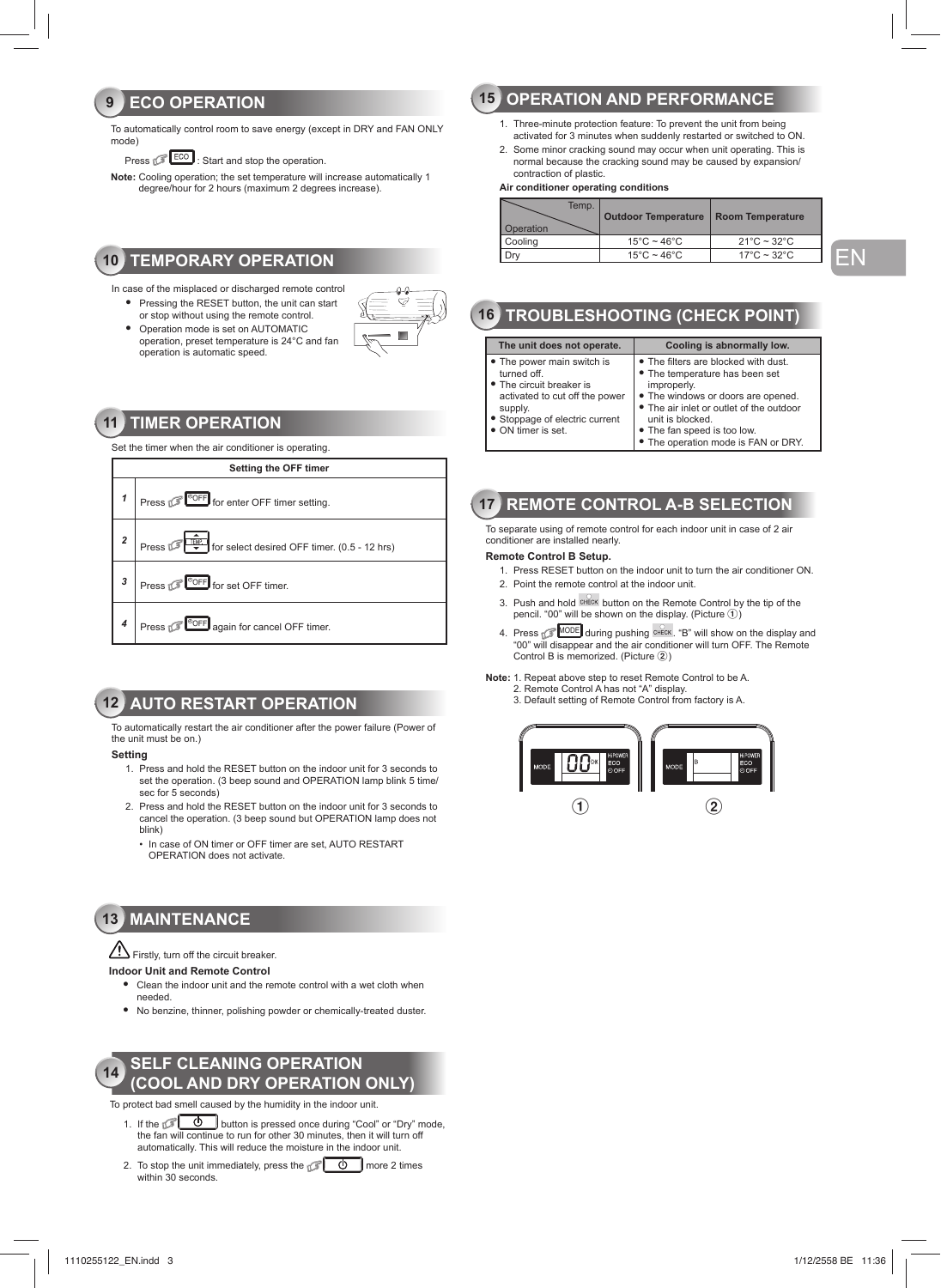## **9 ECO OPERATION**

To automatically control room to save energy (except in DRY and FAN ONLY mode)

Press  $\sqrt{\frac{\text{ECO}}{\text{S}}}$ : Start and stop the operation.

**Note:** Cooling operation; the set temperature will increase automatically 1 degree/hour for 2 hours (maximum 2 degrees increase).

## **10 TEMPORARY OPERATION**

- In case of the misplaced or discharged remote control
- Pressing the RESET button, the unit can start
- or stop without using the remote control. ● Operation mode is set on AUTOMATIC operation, preset temperature is 24°C and fan operation is automatic speed.



## **11 TIMER OPERATION**

Set the timer when the air conditioner is operating.



## **12 AUTO RESTART OPERATION**

To automatically restart the air conditioner after the power failure (Power of the unit must be on.)

#### **Setting**

- 1. Press and hold the RESET button on the indoor unit for 3 seconds to set the operation. (3 beep sound and OPERATION lamp blink 5 time/ sec for 5 seconds)
- 2. Press and hold the RESET button on the indoor unit for 3 seconds to cancel the operation. (3 beep sound but OPERATION lamp does not blink)
	- In case of ON timer or OFF timer are set, AUTO RESTART OPERATION does not activate.

## **13 MAINTENANCE**

Firstly, turn off the circuit breaker.

#### **Indoor Unit and Remote Control**

- Clean the indoor unit and the remote control with a wet cloth when needed.
- No benzine, thinner, polishing powder or chemically-treated duster.



To protect bad smell caused by the humidity in the indoor unit.

- 1. If the  $\circled{1}$  button is pressed once during "Cool" or "Dry" mode, the fan will continue to run for other 30 minutes, then it will turn off automatically. This will reduce the moisture in the indoor unit.
- 2. To stop the unit immediately, press the  $\sqrt{2}$   $\theta$  more 2 times within 30 seconds.

## **15 OPERATION AND PERFORMANCE**

- 1. Three-minute protection feature: To prevent the unit from being activated for 3 minutes when suddenly restarted or switched to ON.
- 2. Some minor cracking sound may occur when unit operating. This is normal because the cracking sound may be caused by expansion/ contraction of plastic.

#### **Air conditioner operating conditions**

| Temp.<br>Operation | <b>Outdoor Temperature</b>       | <b>Room Temperature</b>          |
|--------------------|----------------------------------|----------------------------------|
| Cooling            | $15^{\circ}$ C ~ 46 $^{\circ}$ C | $21^{\circ}$ C ~ 32 $^{\circ}$ C |
|                    | $15^{\circ}$ C ~ $46^{\circ}$ C  | $17^{\circ}$ C ~ 32 $^{\circ}$ C |

## EN

## **16 TROUBLESHOOTING (CHECK POINT)**

| The unit does not operate.                                                                                                                                                 | Cooling is abnormally low.                                                                                                                                                                                                                                        |
|----------------------------------------------------------------------------------------------------------------------------------------------------------------------------|-------------------------------------------------------------------------------------------------------------------------------------------------------------------------------------------------------------------------------------------------------------------|
| • The power main switch is<br>turned off.<br>• The circuit breaker is<br>activated to cut off the power<br>supply.<br>• Stoppage of electric current<br>• ON timer is set. | • The filters are blocked with dust.<br>• The temperature has been set<br>improperly.<br>• The windows or doors are opened.<br>. The air inlet or outlet of the outdoor<br>unit is blocked.<br>• The fan speed is too low.<br>• The operation mode is FAN or DRY. |

## **17 REMOTE CONTROL A-B SELECTION**

To separate using of remote control for each indoor unit in case of 2 air conditioner are installed nearly.

#### **Remote Control B Setup.**

- 1. Press RESET button on the indoor unit to turn the air conditioner ON. 2. Point the remote control at the indoor unit.
- 3. Push and hold CHECK button on the Remote Control by the tip of the
- pencil. "00" will be shown on the display. (Picture 1)
- 4. Press **MODE** during pushing  $\frac{\text{OHEOK}}{\text{OME}}$  will show on the display and "00" will disappear and the air conditioner will turn OFF. The Remote Control B is memorized. (Picture 2)

**Note:** 1. Repeat above step to reset Remote Control to be A. 2. Remote Control A has not "A" display.

3. Default setting of Remote Control from factory is A.

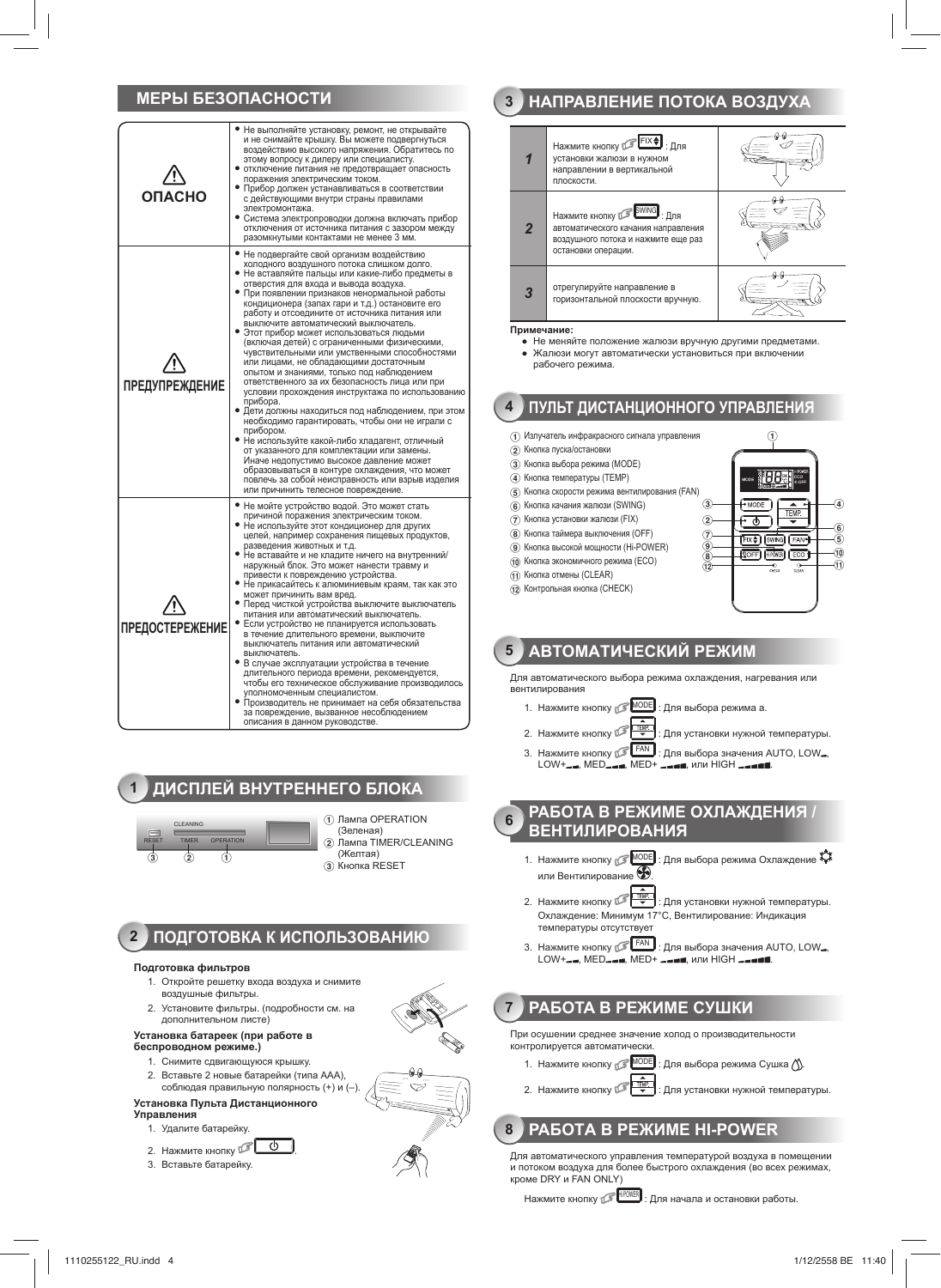## МЕРЫ БЕЗОПАСНОСТИ

| <b>ONACHO</b>          | • Не выполняйте установку, ремонт, не открывайте<br>и не снимайте крышку. Вы можете подвергнуться<br>воздействию высокого напряжения. Обратитесь по<br>этому вопросу к дилеру или специалисту.<br>отключение питания не предотвращает опасность<br>поражения электрическим током.<br>• Прибор должен устанавливаться в соответствии<br>с действующими внутри страны правилами<br>электромонтажа.<br>• Система электропроводки должна включать прибор<br>отключения от источника питания с зазором между<br>разомкнутыми контактами не менее 3 мм.                                                                                                                                                                                                                                                                                                                                                                                                                                                                                                                                                                                                          |
|------------------------|------------------------------------------------------------------------------------------------------------------------------------------------------------------------------------------------------------------------------------------------------------------------------------------------------------------------------------------------------------------------------------------------------------------------------------------------------------------------------------------------------------------------------------------------------------------------------------------------------------------------------------------------------------------------------------------------------------------------------------------------------------------------------------------------------------------------------------------------------------------------------------------------------------------------------------------------------------------------------------------------------------------------------------------------------------------------------------------------------------------------------------------------------------|
| <b>ПРЕДУПРЕЖДЕНИЕ</b>  | • Не подвергайте свой организм воздействию<br>холодного воздушного потока слишком долго.<br>• Не вставляйте пальцы или какие-либо предметы в<br>отверстия для входа и вывода воздуха.<br>• При появлении признаков ненормальной работы<br>кондиционера (запах гари и т.д.) остановите его<br>работу и отсоедините от источника питания или<br>выключите автоматический выключатель.<br>• Этот прибор может использоваться людьми<br>(включая детей) с ограниченными физическими,<br>чувствительными или умственными способностями<br>или лицами, не обладающими достаточным<br>опытом и знаниями, только под наблюдением<br>ответственного за их безопасность лица или при<br>условии прохождения инструктажа по использованию<br>прибора.<br>• Дети должны находиться под наблюдением, при этом<br>необходимо гарантировать, чтобы они не играли с<br>прибором.<br>• Не используйте какой-либо хладагент, отличный<br>от указанного для комплектации или замены.<br>Иначе недопустимо высокое давление может<br>образовываться в контуре охлаждения, что может<br>повлечь за собой неисправность или взрыв изделия<br>или причинить телесное повреждение. |
| <b>ПРЕДОСТЕРЕЖЕНИЕ</b> | • Не мойте устройство водой. Это может стать<br>причиной поражения электрическим током.<br>• Не используйте этот кондиционер для других<br>целей, например сохранения пищевых продуктов,<br>разведения животных и т.д.<br>• Не вставайте и не кладите ничего на внутренний/<br>наружный блок. Это может нанести травму и<br>привести к повреждению устройства.<br>• Не прикасайтесь к алюминиевым краям, так как это<br>может причинить вам вред.<br>• Перед чисткой устройства выключите выключатель<br>питания или автоматический выключатель.<br>• Если устройство не планируется использовать<br>в течение длительного времени, выключите<br>выключатель питания или автоматический<br>выключатель.<br>• В случае эксплуатации устройства в течение<br>длительного периода времени, рекомендуется,<br>чтобы его техническое обслуживание производилось<br>уполномоченным специалистом.<br>• Производитель не принимает на себя обязательства<br>за повреждение, вызванное несоблюдением<br>описания в данном руководстве.                                                                                                                              |







- (2) Лампа TIMER/CLEANING
- (Желтая) 3 Кнопка RESET

#### ПОДГОТОВКА К ИСПОЛЬЗОВАНИЮ  $2<sup>2</sup>$

#### Подготовка фильтров

- 1. Откройте решетку входа воздуха и снимите воздушные фильтры.
- 2. Установите фильтры. (подробности см. на
	- дополнительном листе)

#### Установка батареек (при работе в беспроводном режиме.)

- 1. Снимите сдвигающуюся крышку. 2. Вставьте 2 новые батарейки (типа ААА).
- $\overline{c}$ облюдая правильную полярность (+) и (-).

#### Установка Пульта Дистанционного Управления

- 1. Удалите батарейку.
- 
- 2. Нажмите кнопку
- 3. Вставьте батарейку.



#### НАПРАВЛЕНИЕ ПОТОКА ВОЗДУХА  $\overline{3}$



#### Примечание:

- Не меняйте положение жалюзи вручную другими предметами. • Жалюзи могут автоматически установиться при включении
- рабочего режима

#### ПУЛЬТ ДИСТАНЦИОННОГО УПРАВЛЕНИЯ  $\overline{4}$

- (1) Излучатель инфракрасного сигнала управления
- (2) Кнопка пуска/остановки
- 3) Кнопка выбора режима (MODE)
- 4) Кнопка температуры (TEMP)
- $\widehat{S}$ ) Кнопка скорости режима вентилирования (FAN)
- 6) Кнопка качания жалюзи (SWING)
- (7) Кнопка установки жалюзи (FIX)
- (8) Кнопка таймера выключения (OFF) (9) Кнопка высокой мощности (Hi-POWER)
- 
- (10 Кнопка экономичного режима (ECO)
- (1) Кнопка отмены (CLEAR)
- (12) Контрольная кнопка (СНЕСК)



#### АВТОМАТИЧЕСКИЙ РЕЖИМ  $5\phantom{1}$

Для автоматического выбора режима охлаждения, нагревания или RAHTIMUMORAHIMO

- 1. Нажмите кнопку **S MODE** : Для выбора режима а.
- 2. Нажмите кнопку  $\sqrt{3}$ : Для установки нужной температуры.
- 3. Нажмите кнопку **SELLARA : Для выбора значения AUTO, LOW**, LOW+- =, MED- = =, MED+ - = = = , или HIGH - = = = = =
- РАБОТА В РЕЖИМЕ ОХЛАЖДЕНИЯ /  $6\phantom{a}$ **ВЕНТИЛИРОВАНИЯ** 
	- 1. Нажмите кнопку **ПАКИДЕР**: Для выбора режима Охлаждение \*\* или Вентилирование $\bigcirc$
	- 2. Нажмите кнопку  $\sqrt{\frac{2}{\sqrt{2}}\sqrt{\frac{1}{2}}\sqrt{\frac{1}{2}}}}$ : Для установки нужной температуры. Охлаждение: Минимум 17°С, Вентилирование: Индикация температуры отсутствует
	- 3. Нажмите кнопку **Гелии**: Для выбора значения AUTO, LOW., LOW+\_\_, MED\_\_\_\_, MED+ \_\_\_\_\_, или HIGH \_\_\_\_\_

#### РАБОТА В РЕЖИМЕ СУШКИ  $\overline{7}$

При осушении среднее значение холод о производительности контролируется автоматически.

- 1. Нажмите кнопку Поре : Для выбора режима Сушка ∕у.
- TEMP. 2. Нажмите кнопку

8

## PAБОТА В РЕЖИМЕ HI-POWER

: Для установки нужной температуры.

Для автоматического управления температурой воздуха в помещении и потоком воздуха для более быстрого охлаждения (во всех режимах, кроме DRY и FAN ONLY)

Нажмите кнопку **FINGHORES** : Для начала и остановки работы.

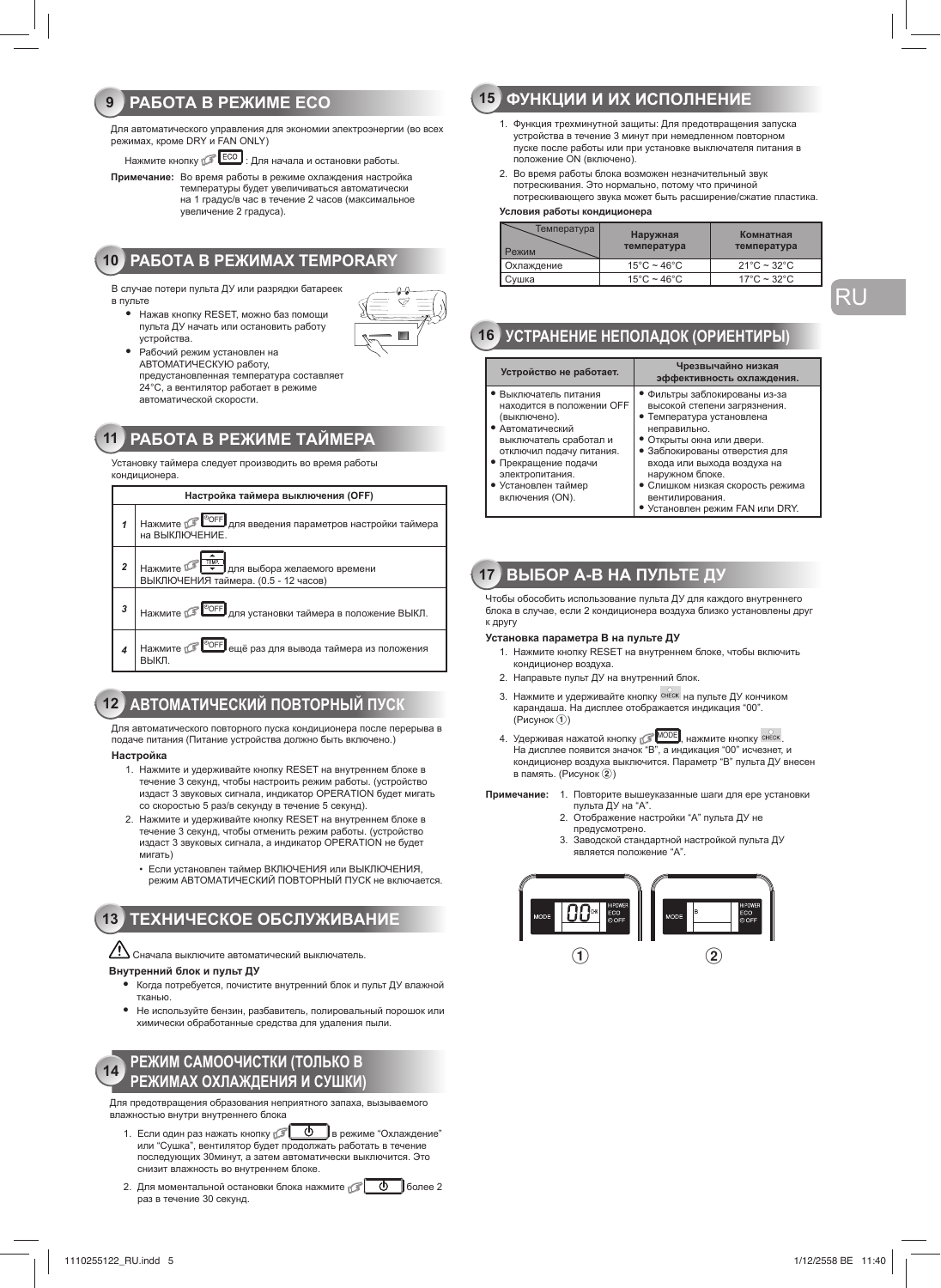#### **PAGOTA B PEXUME ECO**  $9$

Для автоматического управления для экономии электроэнергии (во всех режимах, кроме DRY и FAN ONLY)

Нажмите кнопку **Весо**: Для начала и остановки работы.

Примечание: Во время работы в режиме охлаждения настройка

температуры будет увеличиваться автоматически на 1 градус/в час в течение 2 часов (максимальное увеличение 2 градуса).

## **10 PAGOTA B PEXHMAX TEMPORARY**

В случае потери пульта ЛУ или разрядки батареек в пульте

- Нажав кнопку RESET, можно баз помощи пульта ДУ начать или остановить работу устройства.
	- Рабочий режим установлен на АВТОМАТИЧЕСКУЮ работу, предустановленная температура составляет предустание на повторат уразовла автоматической скорости.

## 11 РАБОТА В РЕЖИМЕ ТАЙМЕРА

.<br>Установку таймера следует производить во время работы



## 12 АВТОМАТИЧЕСКИЙ ПОВТОРНЫЙ ПУСК

Для автоматического повторного пуска кондиционера после перерыва в подаче питания (Питание устройства должно быть включено.)

#### Настройка

- 1. Нажмите и удерживайте кнопку RESET на внутреннем блоке в течение 3 секунд, чтобы настроить режим работы. (устройство издаст 3 звуковых сигнала, индикатор OPERATION будет мигать со скоростью 5 раз/в секунду в течение 5 секунд).
- 2. Нажмите и удерживайте кнопку RESET на внутреннем блоке в течение 3 секунд, чтобы отменить режим работы. (устройство издаст 3 звуковых сигнала, а индикатор OPERATION не будет мигать)
	- Если установлен таймер ВКЛЮЧЕНИЯ или ВЫКЛЮЧЕНИЯ. режим АВТОМАТИЧЕСКИЙ ПОВТОРНЫЙ ПУСК не включается

#### **ТЕХНИЧЕСКОЕ ОБСЛУЖИВАНИЕ**  $13$

 $\mathcal{L}\!$  Сначала выключите автоматический выключатель.

#### Внутренний блок и пульт ДУ

- Когда потребуется, почистите внутренний блок и пульт ДУ влажной тканью
- Не используйте бензин, разбавитель, полировальный порошок или химически обработанные средства для удаления пыли.

#### РЕЖИМ САМООЧИСТКИ (ТОЛЬКО В  $14$ РЕЖИМАХ ОХЛАЖДЕНИЯ И СУШКИ

Для предотвращения образования неприятного запаха, вызываемого влажностью внутри внутреннего блока

- 1. Если один раз нажать кнопку [ 0 в режиме "Охлаждение" или "Сушка", вентилятор будет продолжать работать в течение последующих 30минут, а затем автоматически выключится. Это снизит влажность во внутреннем блоке.
- 2. Для моментальной остановки блока нажмите  $\sigma$  0 более 2 раз в течение 30 секунд.

## 15 ФУНКЦИИ И ИХ ИСПОЛНЕНИЕ

- 1. Функция трехминутной защиты: Для предотвращения запуска устройства в течение 3 минут при немедленном повторном пуске после работы или при установке выключателя питания в положение ОN (включено).
- 2. Во время работы блока возможен незначительный звук потрескивания. Это нормально, потому что причиной потрескивающего звука может быть расширение/сжатие пластика.

#### Условия работы кондиционера

| Гемпература<br>⊃ежим | Наружная<br>температура          | Комнатная<br>температура         |
|----------------------|----------------------------------|----------------------------------|
| Охлаждение           | $15^{\circ}$ C ~ 46 $^{\circ}$ C | $21^{\circ}$ C ~ 32 $^{\circ}$ C |
| Сvшка                | $15^{\circ}$ C ~ 46 $^{\circ}$ C | $17^{\circ}$ C ~ 32 $^{\circ}$ C |

**RU** 

## 16 УСТРАНЕНИЕ НЕПОЛАДОК (ОРИЕНТИРЫ)

| Устройство не работает.                                                                                                                                                                                                           | Чрезвычайно низкая<br>эффективность охлаждения.                                                                                                                                                                                                                                                                      |
|-----------------------------------------------------------------------------------------------------------------------------------------------------------------------------------------------------------------------------------|----------------------------------------------------------------------------------------------------------------------------------------------------------------------------------------------------------------------------------------------------------------------------------------------------------------------|
| • Выключатель питания<br>находится в положении ОFF<br>(выключено).<br>• Автоматический<br>выключатель сработал и<br>отключил подачу питания.<br>• Прекращение подачи<br>электропитания.<br>• Установлен таймер<br>включения (ON). | • Фильтры заблокированы из-за<br>высокой степени загрязнения.<br>• Температура установлена<br>неправильно.<br>• Открыты окна или двери.<br>• Заблокированы отверстия для<br>входа или выхода воздуха на<br>наружном блоке.<br>• Слишком низкая скорость режима<br>вентилирования.<br>• Установлен режим FAN или DRY. |
|                                                                                                                                                                                                                                   |                                                                                                                                                                                                                                                                                                                      |

## 17 ВЫБОР А-В НА ПУЛЬТЕ ДУ

Чтобы обособить использование пульта ДУ для каждого внутреннего блока в случае, если 2 кондиционера воздуха близко установлены друг к другу

#### Установка параметра В на пульте ДУ

- 1. Нажмите кнопку RESET на внутреннем блоке, чтобы включить кондиционер воздуха.
- 2. Направьте пульт ДУ на внутренний блок.
- 3. Нажмите и удерживайте кнопку СНЕСК на пульте ДУ кончиком карандаша. На дисплее отображается индикация "00". (Рисунок П)
- 4. Удерживая нажатой кнопку **МОDE**, нажмите кнопку снеск На дисплее появится значок "В", а индикация "00" исчезнет, и кондиционер воздуха выключится. Параметр "В" пульта ДУ внесен в память. (Рисунок 2)

Примечание: 1. Повторите вышеуказанные шаги для ере установки

- пульта ДУ на "А" 2. Отображение настройки "А" пульта ДУ не предусмотрено.
- 3. Заводской стандартной настройкой пульта ДУ является положение "А"

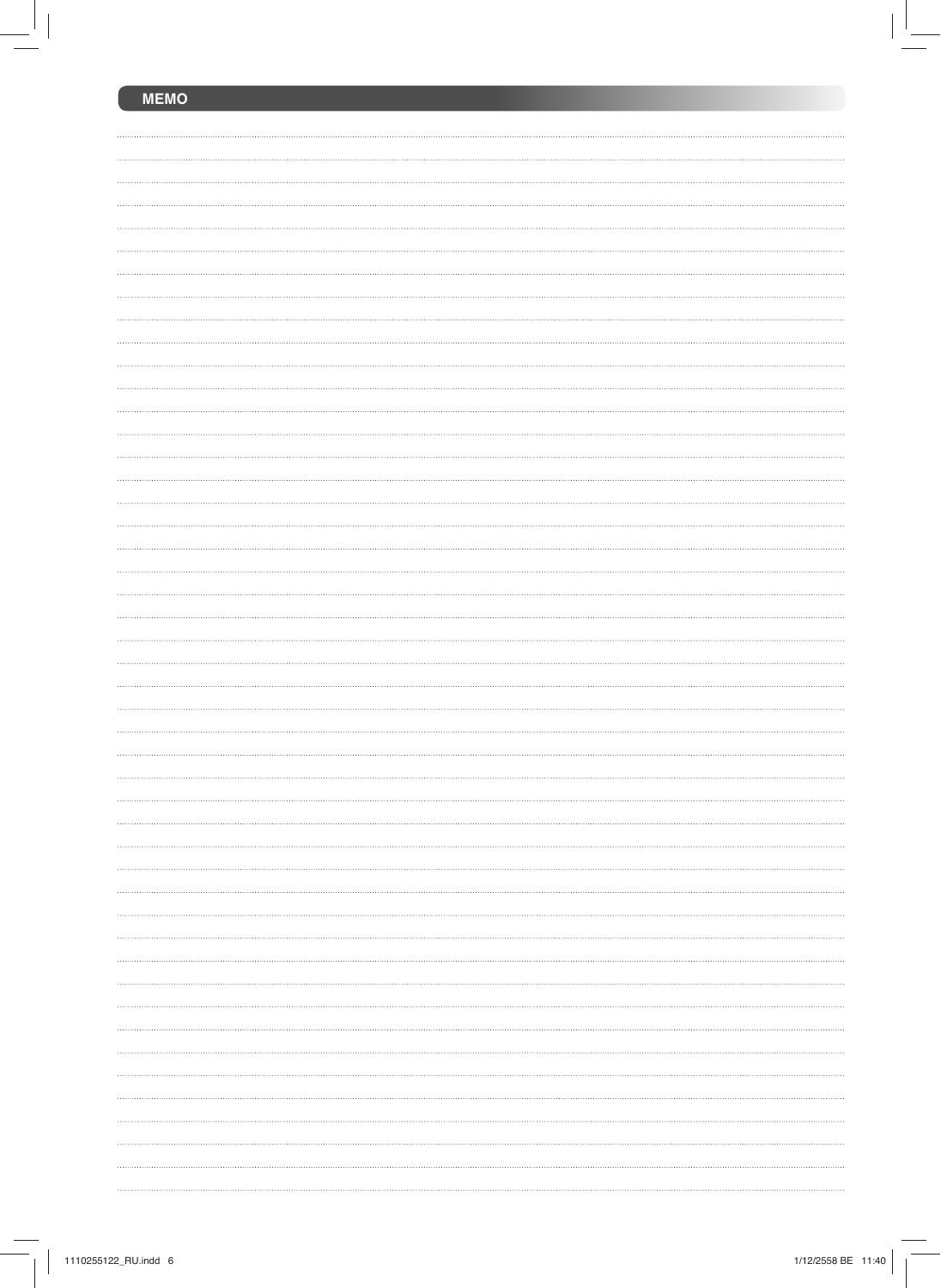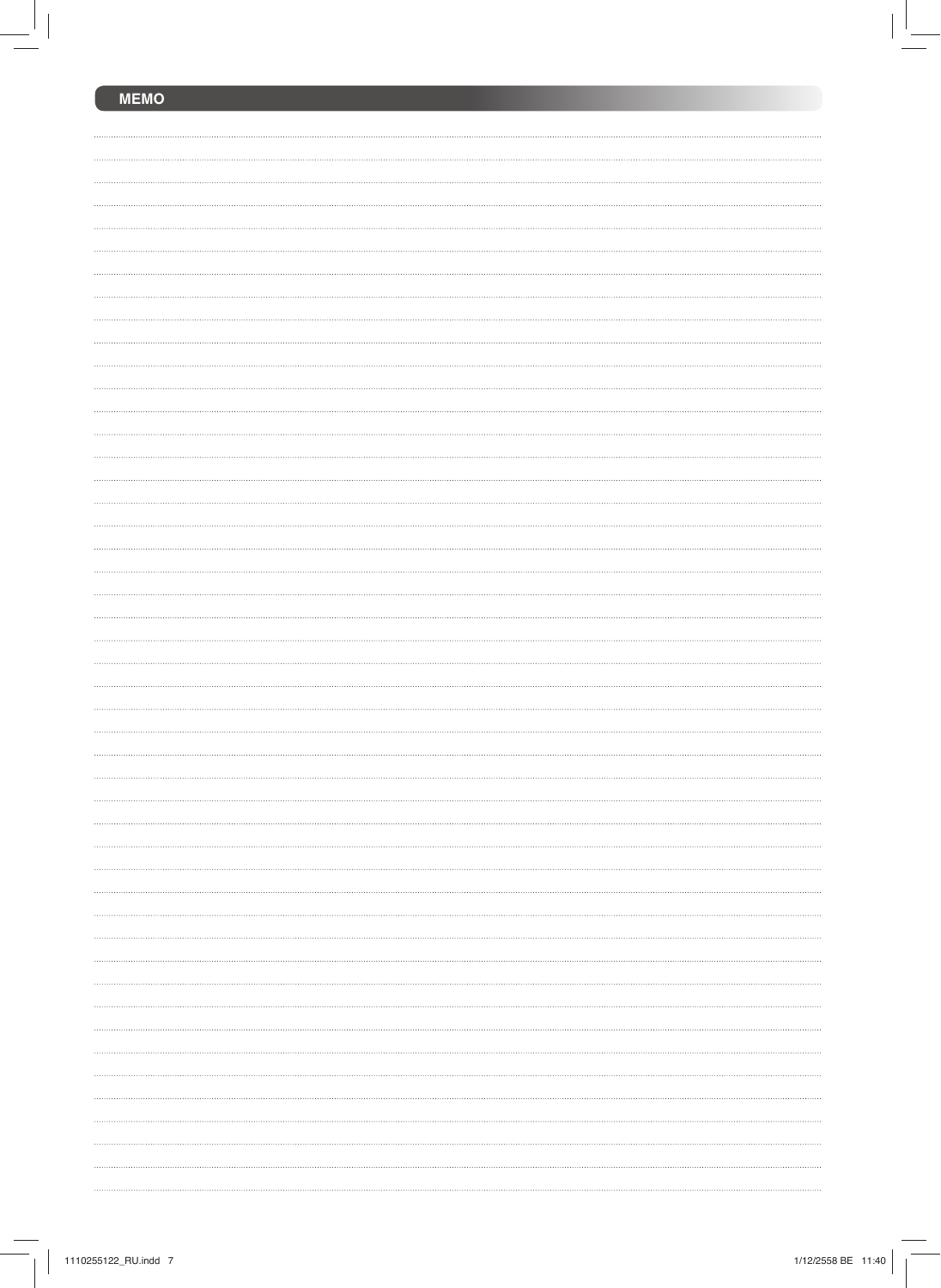| <b>MEMO</b> |  |
|-------------|--|
|             |  |
|             |  |
|             |  |
|             |  |
|             |  |
|             |  |
|             |  |
|             |  |
|             |  |
|             |  |
|             |  |
|             |  |
|             |  |
|             |  |
|             |  |
|             |  |
|             |  |
|             |  |
|             |  |
|             |  |
|             |  |
|             |  |
|             |  |
|             |  |
|             |  |
|             |  |
|             |  |
|             |  |
|             |  |
|             |  |
|             |  |
|             |  |
|             |  |
|             |  |
|             |  |
|             |  |
|             |  |
|             |  |
|             |  |
|             |  |
|             |  |
|             |  |
|             |  |
|             |  |
|             |  |
|             |  |
|             |  |
|             |  |
|             |  |
|             |  |
|             |  |
|             |  |
|             |  |
|             |  |
|             |  |
|             |  |
|             |  |
|             |  |
|             |  |